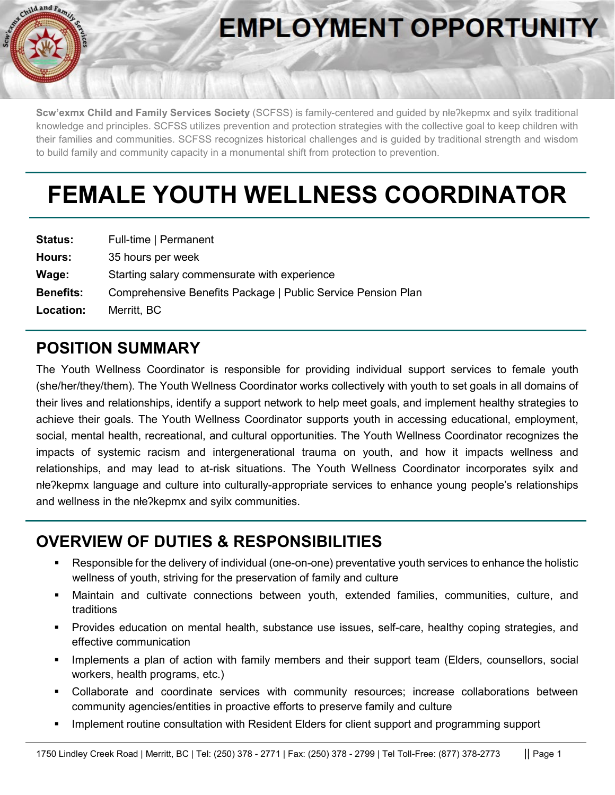

# **EMPLOYMENT OPPORTUNITY**

**Scw'exmx Child and Family Services Society** (SCFSS) is family-centered and guided by nłeʔkepmx and syilx traditional knowledge and principles. SCFSS utilizes prevention and protection strategies with the collective goal to keep children with their families and communities. SCFSS recognizes historical challenges and is guided by traditional strength and wisdom to build family and community capacity in a monumental shift from protection to prevention.

# **FEMALE YOUTH WELLNESS COORDINATOR**

| <b>Status:</b>   | Full-time   Permanent                                        |
|------------------|--------------------------------------------------------------|
| Hours:           | 35 hours per week                                            |
| Wage:            | Starting salary commensurate with experience                 |
| <b>Benefits:</b> | Comprehensive Benefits Package   Public Service Pension Plan |
| <b>Location:</b> | Merritt, BC                                                  |

#### **POSITION SUMMARY**

The Youth Wellness Coordinator is responsible for providing individual support services to female youth (she/her/they/them). The Youth Wellness Coordinator works collectively with youth to set goals in all domains of their lives and relationships, identify a support network to help meet goals, and implement healthy strategies to achieve their goals. The Youth Wellness Coordinator supports youth in accessing educational, employment, social, mental health, recreational, and cultural opportunities. The Youth Wellness Coordinator recognizes the impacts of systemic racism and intergenerational trauma on youth, and how it impacts wellness and relationships, and may lead to at-risk situations. The Youth Wellness Coordinator incorporates syilx and nłeʔkepmx language and culture into culturally-appropriate services to enhance young people's relationships and wellness in the nłeʔkepmx and syilx communities.

#### **OVERVIEW OF DUTIES & RESPONSIBILITIES**

- Responsible for the delivery of individual (one-on-one) preventative youth services to enhance the holistic wellness of youth, striving for the preservation of family and culture
- Maintain and cultivate connections between youth, extended families, communities, culture, and traditions
- Provides education on mental health, substance use issues, self-care, healthy coping strategies, and effective communication
- Implements a plan of action with family members and their support team (Elders, counsellors, social workers, health programs, etc.)
- Collaborate and coordinate services with community resources; increase collaborations between community agencies/entities in proactive efforts to preserve family and culture
- Implement routine consultation with Resident Elders for client support and programming support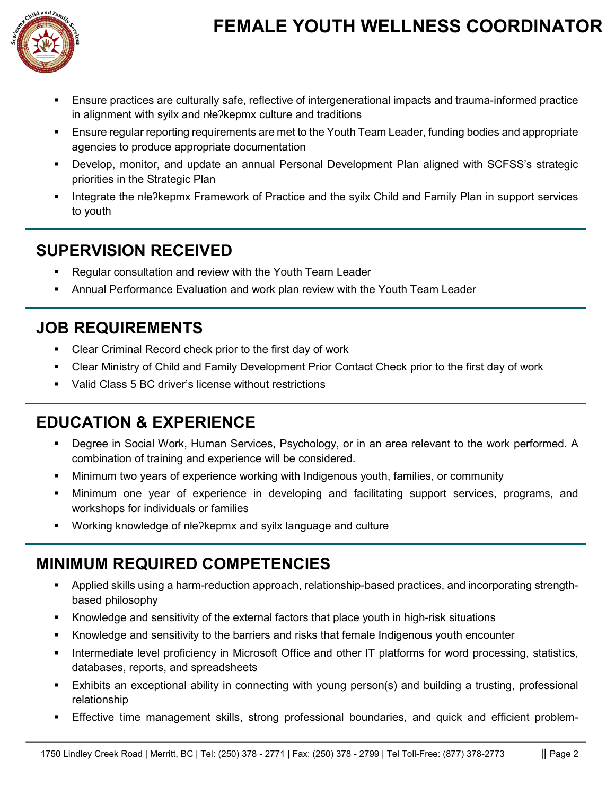

## **FEMALE YOUTH WELLNESS COORDINATOR**

- Ensure practices are culturally safe, reflective of intergenerational impacts and trauma-informed practice in alignment with syilx and nłeʔkepmx culture and traditions
- **Ensure regular reporting requirements are met to the Youth Team Leader, funding bodies and appropriate** agencies to produce appropriate documentation
- Develop, monitor, and update an annual Personal Development Plan aligned with SCFSS's strategic priorities in the Strategic Plan
- Integrate the nłeʔkepmx Framework of Practice and the syilx Child and Family Plan in support services to youth

#### **SUPERVISION RECEIVED**

- Regular consultation and review with the Youth Team Leader
- Annual Performance Evaluation and work plan review with the Youth Team Leader

#### **JOB REQUIREMENTS**

- Clear Criminal Record check prior to the first day of work
- Clear Ministry of Child and Family Development Prior Contact Check prior to the first day of work
- Valid Class 5 BC driver's license without restrictions

#### **EDUCATION & EXPERIENCE**

- Degree in Social Work, Human Services, Psychology, or in an area relevant to the work performed. A combination of training and experience will be considered.
- Minimum two years of experience working with Indigenous youth, families, or community
- Minimum one year of experience in developing and facilitating support services, programs, and workshops for individuals or families
- Working knowledge of nłe?kepmx and syilx language and culture

#### **MINIMUM REQUIRED COMPETENCIES**

- Applied skills using a harm-reduction approach, relationship-based practices, and incorporating strengthbased philosophy
- Knowledge and sensitivity of the external factors that place youth in high-risk situations
- Knowledge and sensitivity to the barriers and risks that female Indigenous youth encounter
- Intermediate level proficiency in Microsoft Office and other IT platforms for word processing, statistics, databases, reports, and spreadsheets
- Exhibits an exceptional ability in connecting with young person(s) and building a trusting, professional relationship
- Effective time management skills, strong professional boundaries, and quick and efficient problem-